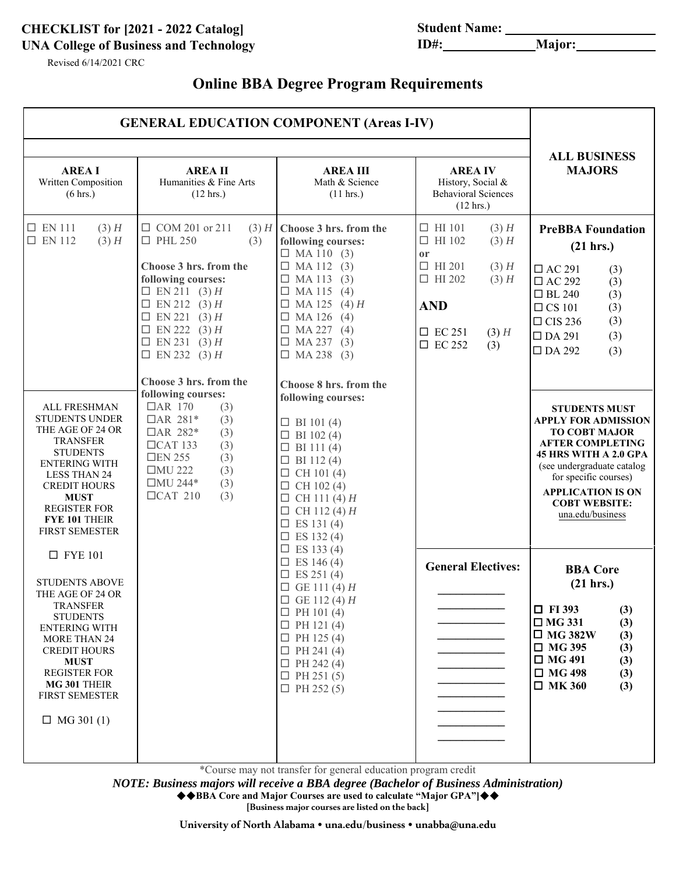# **CHECKLIST for [2021 - 2022 Catalog] Student Name: UNA College of Business and Technology**

Revised 6/14/2021 CRC

# **Online BBA Degree Program Requirements**

|                                                                                                                                                                                                                                                                                                                                              | <b>GENERAL EDUCATION COMPONENT (Areas I-IV)</b>                                                                                                                                                                                                                                                                                                                                                                                                                                                 |                                                                                                                                                                                                                                                                                                                                                                                                                                                                                                                                                                          |                                                                                                                                                                                                                              |                                                                                                                                                                                                                                                                                                                                                                                                                                                                                                       |  |
|----------------------------------------------------------------------------------------------------------------------------------------------------------------------------------------------------------------------------------------------------------------------------------------------------------------------------------------------|-------------------------------------------------------------------------------------------------------------------------------------------------------------------------------------------------------------------------------------------------------------------------------------------------------------------------------------------------------------------------------------------------------------------------------------------------------------------------------------------------|--------------------------------------------------------------------------------------------------------------------------------------------------------------------------------------------------------------------------------------------------------------------------------------------------------------------------------------------------------------------------------------------------------------------------------------------------------------------------------------------------------------------------------------------------------------------------|------------------------------------------------------------------------------------------------------------------------------------------------------------------------------------------------------------------------------|-------------------------------------------------------------------------------------------------------------------------------------------------------------------------------------------------------------------------------------------------------------------------------------------------------------------------------------------------------------------------------------------------------------------------------------------------------------------------------------------------------|--|
| <b>AREA I</b><br>Written Composition<br>(6 hrs.)                                                                                                                                                                                                                                                                                             | <b>AREA II</b><br>Humanities & Fine Arts<br>$(12 \text{ hrs.})$                                                                                                                                                                                                                                                                                                                                                                                                                                 | <b>AREA III</b><br>Math & Science<br>(11 hrs.)                                                                                                                                                                                                                                                                                                                                                                                                                                                                                                                           | <b>AREA IV</b><br>History, Social &<br><b>Behavioral Sciences</b><br>$(12 \text{ hrs.})$                                                                                                                                     | <b>ALL BUSINESS</b><br><b>MAJORS</b>                                                                                                                                                                                                                                                                                                                                                                                                                                                                  |  |
| $\square$ EN 111<br>$(3)$ H<br>$\square$ EN 112<br>$(3)$ H<br>ALL FRESHMAN<br><b>STUDENTS UNDER</b><br>THE AGE OF 24 OR<br><b>TRANSFER</b><br><b>STUDENTS</b><br><b>ENTERING WITH</b><br><b>LESS THAN 24</b><br><b>CREDIT HOURS</b><br><b>MUST</b><br><b>REGISTER FOR</b><br><b>FYE 101 THEIR</b><br><b>FIRST SEMESTER</b><br>$\Box$ FYE 101 | $\Box$ COM 201 or 211<br>$(3)$ H<br>$\square$ PHL 250<br>(3)<br>Choose 3 hrs. from the<br>following courses:<br>$\Box$ EN 211 (3) H<br>$\Box$ EN 212 (3) H<br>$\Box$ EN 221 (3) H<br>$\Box$ EN 222 (3) H<br>$\Box$ EN 231 (3) H<br>$\Box$ EN 232 (3) H<br>Choose 3 hrs. from the<br>following courses:<br>$\Box$ AR 170<br>(3)<br>$\Box$ AR 281*<br>(3)<br>□AR 282*<br>(3)<br>$\Box$ CAT 133<br>(3)<br>$\Box$ EN 255<br>(3)<br>$\Box$ MU 222<br>(3)<br>□MU 244*<br>(3)<br>$\Box$ CAT 210<br>(3) | Choose 3 hrs. from the<br>following courses:<br>$\Box$ MA 110 (3)<br>$\Box$ MA 112 (3)<br>$\Box$ MA 113<br>(3)<br>$\Box$ MA 115 (4)<br>$\Box$ MA 125<br>$(4)$ H<br>$\Box$ MA 126<br>(4)<br>$\Box$ MA 227<br>(4)<br>$\Box$ MA 237 (3)<br>$\Box$ MA 238 (3)<br>Choose 8 hrs. from the<br>following courses:<br>$\Box$ BI 101(4)<br>$\Box$ BI 102(4)<br>$\Box$ BI 111(4)<br>$\Box$ BI 112 (4)<br>$\Box$ CH 101(4)<br>$\Box$ CH 102 (4)<br>$\Box$ CH 111 (4) H<br>$\Box$ CH 112 (4) H<br>$\square$ ES 131 (4)<br>$\Box$ ES 132 (4)<br>$\Box$ ES 133 (4)<br>$\Box$ ES 146 (4) | $\Box$ HI 101<br>$(3)$ H<br>$\Box$ HI 102<br>$(3)$ H<br><sub>or</sub><br>$\Box$ HI 201<br>$(3)$ H<br>$\Box$ HI 202<br>$(3)$ H<br><b>AND</b><br>$\Box$ EC 251<br>$(3)$ H<br>$\Box$ EC 252<br>(3)<br><b>General Electives:</b> | <b>PreBBA Foundation</b><br>(21 hrs.)<br>$\Box$ AC 291<br>(3)<br>$\Box$ AC 292<br>(3)<br>$\Box$ BL 240<br>(3)<br>(3)<br>$\Box$ CS 101<br>$\Box$ CIS 236<br>(3)<br>$\Box$ DA 291<br>(3)<br>$\square$ DA 292<br>(3)<br><b>STUDENTS MUST</b><br><b>APPLY FOR ADMISSION</b><br><b>TO COBT MAJOR</b><br><b>AFTER COMPLETING</b><br>45 HRS WITH A 2.0 GPA<br>(see undergraduate catalog<br>for specific courses)<br><b>APPLICATION IS ON</b><br><b>COBT WEBSITE:</b><br>una.edu/business<br><b>BBA Core</b> |  |
| <b>STUDENTS ABOVE</b><br>THE AGE OF 24 OR<br><b>TRANSFER</b><br><b>STUDENTS</b><br><b>ENTERING WITH</b><br><b>MORE THAN 24</b><br><b>CREDIT HOURS</b><br><b>MUST</b><br><b>REGISTER FOR</b><br>MG 301 THEIR<br><b>FIRST SEMESTER</b><br>$\Box$ MG 301 (1)                                                                                    |                                                                                                                                                                                                                                                                                                                                                                                                                                                                                                 | $\Box$ ES 251 (4)<br>$\Box$ GE 111 (4) H<br>$\Box$ GE 112(4) $H$<br>$\Box$ PH 101(4)<br>$\Box$ PH 121 (4)<br>$\Box$ PH 125 (4)<br>$\Box$ PH 241 (4)<br>$\Box$ PH 242 (4)<br>$\Box$ PH 251 (5)<br>$\Box$ PH 252 (5)                                                                                                                                                                                                                                                                                                                                                       |                                                                                                                                                                                                                              | (21 hrs.)<br>$\Box$ FI 393<br>(3)<br>$\Box$ MG 331<br>(3)<br>$\Box$ MG 382W<br>(3)<br>$\Box$ MG 395<br>(3)<br>$\Box$ MG 491<br>(3)<br>$\Box$ MG 498<br>(3)<br>$\Box$ MK 360<br>(3)                                                                                                                                                                                                                                                                                                                    |  |

\*Course may not transfer for general education program credit

*NOTE: Business majors will receive a BBA degree (Bachelor of Business Administration)*

◆◆BBA Core and Major Courses are used to calculate "Major GPA"]◆◆

**[Business major courses are listed on the back]**